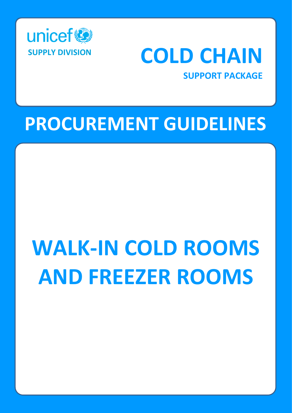

# **SUPPLY DIVISION COLD CHAIN**

# **SUPPORT PACKAGE**

# **PROCUREMENT GUIDELINES**

# **WALK-IN COLD ROOMS AND FREEZER ROOMS**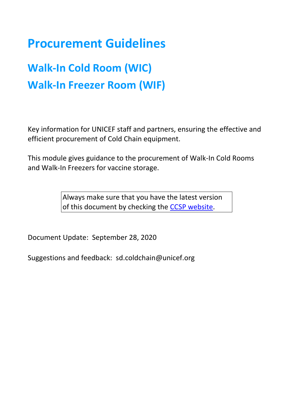# **Procurement Guidelines**

# **Walk-In Cold Room (WIC) Walk-In Freezer Room (WIF)**

Key information for UNICEF staff and partners, ensuring the effective and efficient procurement of Cold Chain equipment.

This module gives guidance to the procurement of Walk-In Cold Rooms and Walk-In Freezers for vaccine storage.

> Always make sure that you have the latest version of this document by checking the [CCSP website.](http://www.unicef.org/supply/index_68367.html)

Document Update: September 28, 2020

Suggestions and feedback: sd.coldchain@unicef.org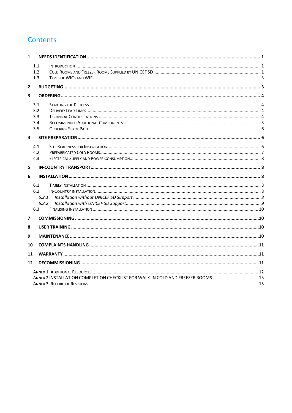# **Contents**

| $\mathbf{1}$                                                                 |     |       |  |  |
|------------------------------------------------------------------------------|-----|-------|--|--|
|                                                                              | 1.1 |       |  |  |
|                                                                              | 1.2 |       |  |  |
|                                                                              | 1.3 |       |  |  |
| $\overline{2}$                                                               |     |       |  |  |
| 3                                                                            |     |       |  |  |
|                                                                              | 3.1 |       |  |  |
|                                                                              | 3.2 |       |  |  |
|                                                                              | 3.3 |       |  |  |
|                                                                              | 3.4 |       |  |  |
|                                                                              | 3.5 |       |  |  |
| 4                                                                            |     |       |  |  |
|                                                                              | 4.1 |       |  |  |
|                                                                              | 4.2 |       |  |  |
|                                                                              | 4.3 |       |  |  |
| 5                                                                            |     |       |  |  |
| 6                                                                            |     |       |  |  |
|                                                                              | 6.1 |       |  |  |
|                                                                              | 6.2 |       |  |  |
|                                                                              |     | 6.2.1 |  |  |
|                                                                              |     | 6.2.2 |  |  |
|                                                                              | 6.3 |       |  |  |
| 7                                                                            |     |       |  |  |
| 8                                                                            |     |       |  |  |
| 9                                                                            |     |       |  |  |
| 10                                                                           |     |       |  |  |
| 11                                                                           |     |       |  |  |
| 12                                                                           |     |       |  |  |
|                                                                              |     |       |  |  |
| ANNEX 2 INSTALLATION COMPLETION CHECKLIST FOR WALK-IN COLD AND FREEZER ROOMS |     |       |  |  |
|                                                                              |     |       |  |  |
|                                                                              |     |       |  |  |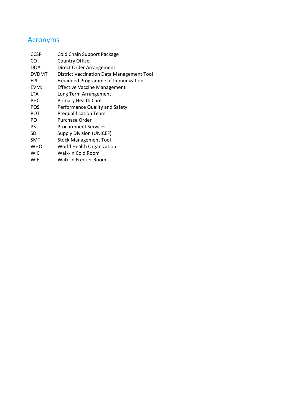# Acronyms

| <b>CCSP</b>  | <b>Cold Chain Support Package</b>         |
|--------------|-------------------------------------------|
| CO           | <b>Country Office</b>                     |
| <b>DOA</b>   | Direct Order Arrangement                  |
| <b>DVDMT</b> | District Vaccination Data Management Tool |
| <b>EPI</b>   | <b>Expanded Programme of Immunization</b> |
| EVM:         | <b>Effective Vaccine Management</b>       |
| <b>LTA</b>   | Long Term Arrangement                     |
| PHC          | Primary Health Care                       |
| PQS          | Performance Quality and Safety            |
| PQT          | <b>Prequalification Team</b>              |
| PO           | Purchase Order                            |
| PS           | <b>Procurement Services</b>               |
| SD           | <b>Supply Division (UNICEF)</b>           |
| <b>SMT</b>   | <b>Stock Management Tool</b>              |
| <b>WHO</b>   | World Health Organization                 |
| <b>WIC</b>   | Walk-In Cold Room                         |
| WIF          | Walk-In Freezer Room                      |
|              |                                           |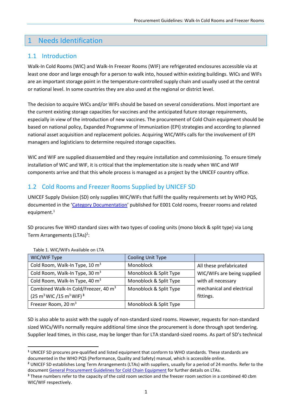# <span id="page-4-0"></span>1 Needs Identification

#### <span id="page-4-1"></span>1.1 Introduction

Walk-In Cold Rooms (WIC) and Walk-In Freezer Rooms (WIF) are refrigerated enclosures accessible via at least one door and large enough for a person to walk into, housed within existing buildings. WICs and WIFs are an important storage point in the temperature-controlled supply chain and usually used at the central or national level. In some countries they are also used at the regional or district level.

The decision to acquire WICs and/or WIFs should be based on several considerations. Most important are the current existing storage capacities for vaccines and the anticipated future storage requirements, especially in view of the introduction of new vaccines. The procurement of Cold Chain equipment should be based on national policy, Expanded Programme of Immunization (EPI) strategies and according to planned national asset acquisition and replacement policies. Acquiring WIC/WIFs calls for the involvement of EPI managers and logisticians to determine required storage capacities.

WIC and WIF are supplied disassembled and they require installation and commissioning. To ensure timely installation of WIC and WIF, it is critical that the implementation site is ready when WIC and WIF components arrive and that this whole process is managed as a project by the UNICEF country office.

## <span id="page-4-2"></span>1.2 Cold Rooms and Freezer Rooms Supplied by UNICEF SD

UNICEF Supply Division (SD) only supplies WIC/WIFs that fulfil the quality requirements set by WHO PQS, documented in the '[Category Documentation](https://apps.who.int/immunization_standards/vaccine_quality/pqs_catalogue/categorypage.aspx?id_cat=15)' published for E001 Cold rooms, freezer rooms and related equipment. 1

SD procures five WHO standard sizes with two types of cooling units (mono block & split type) via Long Term Arrangements (LTAs)<sup>2</sup>:

| WIC/WIF Type                                                | <b>Cooling Unit Type</b> |                             |
|-------------------------------------------------------------|--------------------------|-----------------------------|
| Cold Room, Walk-In Type, 10 m <sup>3</sup>                  | Monoblock                | All these prefabricated     |
| Cold Room, Walk-In Type, 30 m <sup>3</sup>                  | Monoblock & Split Type   | WIC/WIFs are being supplied |
| Cold Room, Walk-In Type, 40 m <sup>3</sup>                  | Monoblock & Split Type   | with all necessary          |
| Combined Walk-In Cold/Freezer, 40 m <sup>3</sup>            | Monoblock & Split Type   | mechanical and electrical   |
| $(25 \text{ m}^3 \text{ WIC}/15 \text{ m}^3 \text{ WIF})^3$ |                          | fittings.                   |
| Freezer Room, 20 m <sup>3</sup>                             | Monoblock & Split Type   |                             |

Table 1. WIC/WIFs Available on LTA

SD is also able to assist with the supply of non-standard sized rooms. However, requests for non-standard sized WICs/WIFs normally require additional time since the procurement is done through spot tendering. Supplier lead times, in this case, may be longer than for LTA standard-sized rooms. As part of SD's technical

**<sup>1</sup>** UNICEF SD procures pre-qualified and listed equipment that conform to WHO standards. These standards are documented in the WHO PQS (Performance, Quality and Safety) manual, which is accessible online.

**<sup>2</sup>** UNICEF SD establishes Long Term Arrangements (LTAs) with suppliers, usually for a period of 24 months. Refer to the documen[t General Procurement Guidelines for Cold Chain Equipment](https://www.unicef.org/supply/documents/general-procurement-guidelines-cold-chain-equipment) for further details on LTAs.

**<sup>3</sup>** These numbers refer to the capacity of the cold room section and the freezer room section in a combined 40 cbm WIC/WIF respectively.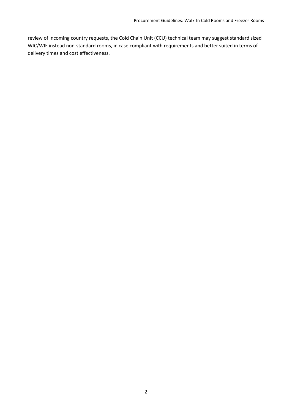review of incoming country requests, the Cold Chain Unit (CCU) technical team may suggest standard sized WIC/WIF instead non-standard rooms, in case compliant with requirements and better suited in terms of delivery times and cost effectiveness.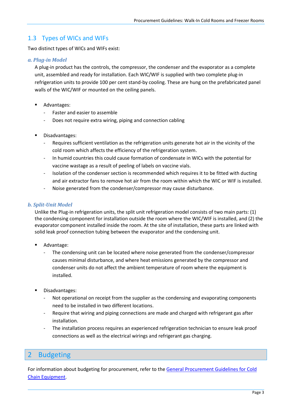#### <span id="page-6-0"></span>1.3 Types of WICs and WIFs

Two distinct types of WICs and WIFs exist:

#### *a. Plug-in Model*

A plug-in product has the controls, the compressor, the condenser and the evaporator as a complete unit, assembled and ready for installation. Each WIC/WIF is supplied with two complete plug-in refrigeration units to provide 100 per cent stand-by cooling. These are hung on the prefabricated panel walls of the WIC/WIF or mounted on the ceiling panels.

- Advantages:
	- Faster and easier to assemble
	- Does not require extra wiring, piping and connection cabling
- Disadvantages:
	- Requires sufficient ventilation as the refrigeration units generate hot air in the vicinity of the cold room which affects the efficiency of the refrigeration system.
	- In humid countries this could cause formation of condensate in WICs with the potential for vaccine wastage as a result of peeling of labels on vaccine vials.
	- Isolation of the condenser section is recommended which requires it to be fitted with ducting and air extractor fans to remove hot air from the room within which the WIC or WIF is installed.
	- Noise generated from the condenser/compressor may cause disturbance.

#### *b. Split-Unit Model*

Unlike the Plug-in refrigeration units, the split unit refrigeration model consists of two main parts: (1) the condensing component for installation outside the room where the WIC/WIF is installed, and (2) the evaporator component installed inside the room. At the site of installation, these parts are linked with solid leak proof connection tubing between the evaporator and the condensing unit.

- Advantage:
	- The condensing unit can be located where noise generated from the condenser/compressor causes minimal disturbance, and where heat emissions generated by the compressor and condenser units do not affect the ambient temperature of room where the equipment is installed.
- Disadvantages:
	- Not operational on receipt from the supplier as the condensing and evaporating components need to be installed in two different locations.
	- Require that wiring and piping connections are made and charged with refrigerant gas after installation.
	- The installation process requires an experienced refrigeration technician to ensure leak proof connections as well as the electrical wirings and refrigerant gas charging.

## <span id="page-6-1"></span>2 Budgeting

For information about budgeting for procurement, refer to the [General Procurement Guidelines](https://www.unicef.org/supply/documents/general-procurement-guidelines-cold-chain-equipment) for Cold [Chain Equipment.](https://www.unicef.org/supply/documents/general-procurement-guidelines-cold-chain-equipment)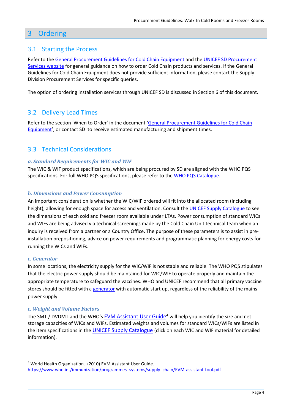## <span id="page-7-0"></span>3 Ordering

#### <span id="page-7-1"></span>3.1 Starting the Process

Refer to th[e General Procurement Guidelines for Cold Chain Equipment](https://www.unicef.org/supply/documents/general-procurement-guidelines-cold-chain-equipment) and the UNICEF SD [Procurement](http://www.unicef.org/supply/index_procurement_services.html)  [Services website](http://www.unicef.org/supply/index_procurement_services.html) for general guidance on how to order Cold Chain products and services. If the General Guidelines for Cold Chain Equipment does not provide sufficient information, please contact the Supply Division Procurement Services for specific queries.

The option of ordering installation services through UNICEF SD is discussed in Section 6 of this document.

#### <span id="page-7-2"></span>3.2 Delivery Lead Times

Refer to the section 'When to Order' in the document '[General Procurement Guidelines for Cold Chain](https://www.unicef.org/supply/documents/general-procurement-guidelines-cold-chain-equipment)  [Equipment](https://www.unicef.org/supply/documents/general-procurement-guidelines-cold-chain-equipment)', or contact SD to receive estimated manufacturing and shipment times.

#### <span id="page-7-3"></span>3.3 Technical Considerations

#### *a. Standard Requirements for WIC and WIF*

The WIC & WIF product specifications, which are being procured by SD are aligned with the WHO PQS specifications. For full WHO PQS specifications, please refer to th[e WHO PQS Catalogue.](https://apps.who.int/immunization_standards/vaccine_quality/pqs_catalogue/categorypage.aspx?id_cat=15)

#### *b. Dimensions and Power Consumption*

An important consideration is whether the WIC/WIF ordered will fit into the allocated room (including height), allowing for enough space for access and ventilation. Consult the UNICEF [Supply Catalogue](https://supply.unicef.org/all-materials/cold-chain-equipment/cold-freezer-rooms.html) to see the dimensions of each cold and freezer room available under LTAs. Power consumption of standard WICs and WIFs are being advised via technical screenings made by the Cold Chain Unit technical team when an inquiry is received from a partner or a Country Office. The purpose of these parameters is to assist in preinstallation prepositioning, advice on power requirements and programmatic planning for energy costs for running the WICs and WIFs.

#### *c. Generator*

In some locations, the electricity supply for the WIC/WIF is not stable and reliable. The WHO PQS stipulates that the electric power supply should be maintained for WIC/WIF to operate properly and maintain the appropriate temperature to safeguard the vaccines. WHO and UNICEF recommend that all primary vaccine stores should be fitted with a [generator](https://supply.unicef.org/all-materials/power-generation.html) with automatic start up, regardless of the reliability of the mains power supply.

#### *c. Weight and Volume Factors*

The SMT / DVDMT and the WHO's [EVM Assistant](http://www.who.int/immunization/programmes_systems/supply_chain/EVM-assistant-tool.pdf) User Guide<sup>4</sup> will help you identify the size and net storage capacities of WICs and WIFs. Estimated weights and volumes for standard WICs/WIFs are listed in the item specifications in the [UNICEF Supply Catalogue](https://supply.unicef.org/all-materials/cold-chain-equipment/cold-freezer-rooms.html) (click on each WIC and WIF material for detailed information).

<sup>4</sup> World Health Organization. (2010) EVM Assistant User Guide. [https://www.who.int/immunization/programmes\\_systems/supply\\_chain/EVM-assistant-tool.pdf](https://www.who.int/immunization/programmes_systems/supply_chain/EVM-assistant-tool.pdf)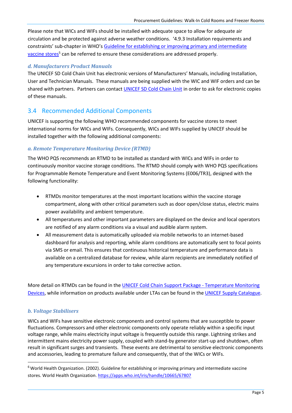Please note that WICs and WIFs should be installed with adequate space to allow for adequate air circulation and be protected against adverse weather conditions. '4.9.3 Installation requirements and constraints' sub-chapter in WHO's [Guideline for establishing or improving primary and intermediate](https://apps.who.int/iris/bitstream/handle/10665/67807/WHO_V-B_02.34_eng.pdf?sequence=1&isAllowed=y)  [vaccine stores](https://apps.who.int/iris/bitstream/handle/10665/67807/WHO_V-B_02.34_eng.pdf?sequence=1&isAllowed=y)<sup>5</sup> can be referred to ensure these considerations are addressed properly.

#### *d. Manufacturers Product Manuals*

The UNICEF SD Cold Chain Unit has electronic versions of Manufacturers' Manuals, including Installation, User and Technician Manuals. These manuals are being supplied with the WIC and WIF orders and can be shared with partners. Partners can contact [UNICEF SD Cold Chain Unit](mailto:sd.coldchain@unicef.org) in order to ask for electronic copies of these manuals.

#### <span id="page-8-0"></span>3.4 Recommended Additional Components

UNICEF is supporting the following WHO recommended components for vaccine stores to meet international norms for WICs and WIFs. Consequently, WICs and WIFs supplied by UNICEF should be installed together with the following additional components:

#### *a. Remote Temperature Monitoring Device (RTMD)*

The WHO PQS recommends an RTMD to be installed as standard with WICs and WIFs in order to continuously monitor vaccine storage conditions. The RTMD should comply with WHO PQS specifications for Programmable Remote Temperature and Event Monitoring Systems (E006/TR3), designed with the following functionality:

- RTMDs monitor temperatures at the most important locations within the vaccine storage compartment, along with other critical parameters such as door open/close status, electric mains power availability and ambient temperature.
- All temperatures and other important parameters are displayed on the device and local operators are notified of any alarm conditions via a visual and audible alarm system.
- All measurement data is automatically uploaded via mobile networks to an internet-based dashboard for analysis and reporting, while alarm conditions are automatically sent to focal points via SMS or email. This ensures that continuous historical temperature and performance data is available on a centralized database for review, while alarm recipients are immediately notified of any temperature excursions in order to take corrective action.

More detail on RTMDs can be found in the UNICEF Cold Chain Support Package - [Temperature Monitoring](https://www.unicef.org/supply/documents/e006-temperature-monitoring-devices)  [Devices,](https://www.unicef.org/supply/documents/e006-temperature-monitoring-devices) while information on products available under LTAs can be found in the [UNICEF Supply Catalogue.](https://supply.unicef.org/all-materials/cold-chain-equipment/temperature-monitoring-devices.html)

#### *b. Voltage Stabilisers*

WICs and WIFs have sensitive electronic components and control systems that are susceptible to power fluctuations. Compressors and other electronic components only operate reliably within a specific input voltage range, while mains electricity input voltage is frequently outside this range. Lightning strikes and intermittent mains electricity power supply, coupled with stand-by generator start-up and shutdown, often result in significant surges and transients. These events are detrimental to sensitive electronic components and accessories, leading to premature failure and consequently, that of the WICs or WIFs.

<sup>&</sup>lt;sup>6</sup> World Health Organization. (2002). Guideline for establishing or improving primary and intermediate vaccine stores. World Health Organization. <https://apps.who.int/iris/handle/10665/67807>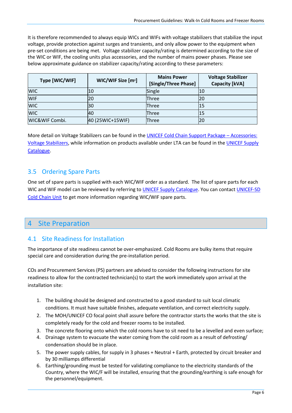It is therefore recommended to always equip WICs and WIFs with voltage stabilizers that stabilize the input voltage, provide protection against surges and transients, and only allow power to the equipment when pre-set conditions are being met. Voltage stabilizer capacity/rating is determined according to the size of the WIC or WIF, the cooling units plus accessories, and the number of mains power phases. Please see below approximate guidance on stabilizer capacity/rating according to these parameters:

| Type [WIC/WIF] | WIC/WIF Size [m <sup>2</sup> ] | <b>Mains Power</b><br>[Single/Three Phase] | <b>Voltage Stabilizer</b><br><b>Capacity [kVA]</b> |
|----------------|--------------------------------|--------------------------------------------|----------------------------------------------------|
| <b>WIC</b>     | 10                             | Single                                     | 10                                                 |
| <b>WIF</b>     | 20                             | Three                                      | 20                                                 |
| <b>WIC</b>     | 30                             | Three                                      | 15                                                 |
| <b>WIC</b>     | 40                             | Three                                      | 15                                                 |
| WIC&WIF Combi. | 40 (25WIC+15WIF)               | Three                                      | 20                                                 |

More detail on Voltage Stabilizers can be found in the [UNICEF Cold Chain Support Package](https://www.unicef.org/supply/documents/e007-cold-chain-accessories) – Accessories: [Voltage Stabilizers,](https://www.unicef.org/supply/documents/e007-cold-chain-accessories) while information on products available under LTA can be found in th[e UNICEF Supply](https://supply.unicef.org/all-materials/cold-chain-equipment/accessories.html)  [Catalogue.](https://supply.unicef.org/all-materials/cold-chain-equipment/accessories.html)

# <span id="page-9-0"></span>3.5 Ordering Spare Parts

One set of spare parts is supplied with each WIC/WIF order as a standard. The list of spare parts for each WIC and WIF model can be reviewed by referring to [UNICEF Supply Catalogue.](https://supply.unicef.org/all-materials/cold-chain-equipment/cold-freezer-rooms.html) You can contact UNICEF-SD [Cold Chain Unit](mailto:sd.coldchain@unicef.org) to get more information regarding WIC/WIF spare parts.

# <span id="page-9-1"></span>4 Site Preparation

## <span id="page-9-2"></span>4.1 Site Readiness for Installation

The importance of site readiness cannot be over-emphasized. Cold Rooms are bulky items that require special care and consideration during the pre-installation period.

COs and Procurement Services (PS) partners are advised to consider the following instructions for site readiness to allow for the contracted technician(s) to start the work immediately upon arrival at the installation site:

- 1. The building should be designed and constructed to a good standard to suit local climatic conditions. It must have suitable finishes, adequate ventilation, and correct electricity supply.
- 2. The MOH/UNICEF CO focal point shall assure before the contractor starts the works that the site is completely ready for the cold and freezer rooms to be installed.
- 3. The concrete flooring onto which the cold rooms have to sit need to be a levelled and even surface;
- 4. Drainage system to evacuate the water coming from the cold room as a result of defrosting/ condensation should be in place.
- 5. The power supply cables, for supply in 3 phases + Neutral + Earth, protected by circuit breaker and by 30 milliamps differential
- 6. Earthing/grounding must be tested for validating compliance to the electricity standards of the Country, where the WIC/F will be installed, ensuring that the grounding/earthing is safe enough for the personnel/equipment.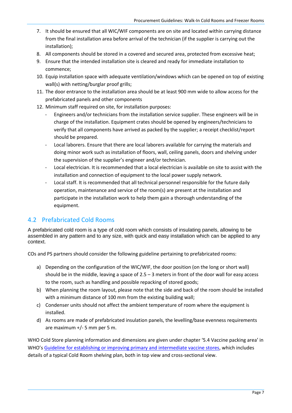- 7. It should be ensured that all WIC/WIF components are on site and located within carrying distance from the final installation area before arrival of the technician (if the supplier is carrying out the installation);
- 8. All components should be stored in a covered and secured area, protected from excessive heat;
- 9. Ensure that the intended installation site is cleared and ready for immediate installation to commence;
- 10. Equip installation space with adequate ventilation/windows which can be opened on top of existing wall(s) with netting/burglar proof grills;
- 11. The door entrance to the installation area should be at least 900 mm wide to allow access for the prefabricated panels and other components
- 12. Minimum staff required on site, for installation purposes:
	- Engineers and/or technicians from the installation service supplier. These engineers will be in charge of the installation. Equipment crates should be opened by engineers/technicians to verify that all components have arrived as packed by the supplier; a receipt checklist/report should be prepared.
	- Local laborers. Ensure that there are local laborers available for carrying the materials and doing minor work such as installation of floors, wall, ceiling panels, doors and shelving under the supervision of the supplier's engineer and/or technician.
	- Local electrician. It is recommended that a local electrician is available on site to assist with the installation and connection of equipment to the local power supply network.
	- Local staff. It is recommended that all technical personnel responsible for the future daily operation, maintenance and service of the room(s) are present at the installation and participate in the installation work to help them gain a thorough understanding of the equipment.

#### <span id="page-10-0"></span>4.2 Prefabricated Cold Rooms

A prefabricated cold room is a type of cold room which consists of insulating panels, allowing to be assembled in any pattern and to any size, with quick and easy installation which can be applied to any context.

COs and PS partners should consider the following guideline pertaining to prefabricated rooms:

- a) Depending on the configuration of the WIC/WIF, the door position (on the long or short wall) should be in the middle, leaving a space of  $2.5 - 3$  meters in front of the door wall for easy access to the room, such as handling and possible repacking of stored goods;
- b) When planning the room layout, please note that the side and back of the room should be installed with a minimum distance of 100 mm from the existing building wall;
- c) Condenser units should not affect the ambient temperature of room where the equipment is installed.
- d) As rooms are made of prefabricated insulation panels, the levelling/base evenness requirements are maximum +/- 5 mm per 5 m.

WHO Cold Store planning information and dimensions are given under chapter '5.4 Vaccine packing area' in WHO's [Guideline for establishing or improving primary and intermediate vaccine stores,](https://apps.who.int/iris/handle/10665/67807) which includes details of a typical Cold Room shelving plan, both in top view and cross-sectional view.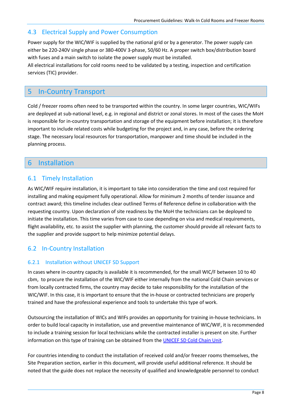#### <span id="page-11-0"></span>4.3 Electrical Supply and Power Consumption

Power supply for the WIC/WIF is supplied by the national grid or by a generator. The power supply can either be 220-240V single phase or 380-400V 3-phase, 50/60 Hz. A proper switch box/distribution board with fuses and a main switch to isolate the power supply must be installed.

All electrical installations for cold rooms need to be validated by a testing, inspection and certification services (TIC) provider.

# <span id="page-11-1"></span>5 In-Country Transport

Cold / freezer rooms often need to be transported within the country. In some larger countries, WIC/WIFs are deployed at sub-national level, e.g. in regional and district or zonal stores. In most of the cases the MoH is responsible for in-country transportation and storage of the equipment before installation; it is therefore important to include related costs while budgeting for the project and, in any case, before the ordering stage. The necessary local resources for transportation, manpower and time should be included in the planning process.

# <span id="page-11-2"></span>6 Installation

#### <span id="page-11-3"></span>6.1 Timely Installation

As WIC/WIF require installation, it is important to take into consideration the time and cost required for installing and making equipment fully operational. Allow for minimum 2 months of tender issuance and contract award; this timeline includes clear outlined Terms of Reference define in collaboration with the requesting country. Upon declaration of site readiness by the MoH the technicians can be deployed to initiate the installation. This time varies from case to case depending on visa and medical requirements, flight availability, etc. to assist the supplier with planning, the customer should provide all relevant facts to the supplier and provide support to help minimize potential delays.

## <span id="page-11-4"></span>6.2 In-Country Installation

#### <span id="page-11-5"></span>6.2.1 Installation without UNICEF SD Support

In cases where in-country capacity is available it is recommended, for the small WIC/F between 10 to 40 cbm, to procure the installation of the WIC/WIF either internally from the national Cold Chain services or from locally contracted firms, the country may decide to take responsibility for the installation of the WIC/WIF. In this case, it is important to ensure that the in-house or contracted technicians are properly trained and have the professional experience and tools to undertake this type of work.

Outsourcing the installation of WICs and WIFs provides an opportunity for training in-house technicians. In order to build local capacity in installation, use and preventive maintenance of WIC/WIF, it is recommended to include a training session for local technicians while the contracted installer is present on site. Further information on this type of training can be obtained from the [UNICEF SD Cold Chain Unit.](mailto:SD.ColdChain@unicef.org)

For countries intending to conduct the installation of received cold and/or freezer rooms themselves, the Site Preparation section, earlier in this document, will provide useful additional reference. It should be noted that the guide does not replace the necessity of qualified and knowledgeable personnel to conduct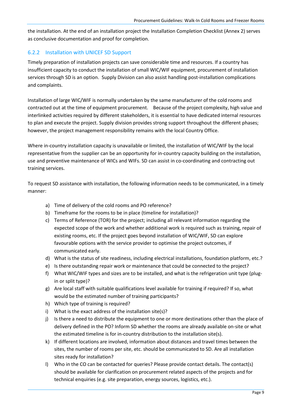the installation. At the end of an installation project the Installation Completion Checklist (Annex 2) serves as conclusive documentation and proof for completion.

#### <span id="page-12-0"></span>6.2.2 Installation with UNICEF SD Support

Timely preparation of installation projects can save considerable time and resources. If a country has insufficient capacity to conduct the installation of small WIC/WIF equipment, procurement of installation services through SD is an option. Supply Division can also assist handling post-installation complications and complaints.

Installation of large WIC/WIF is normally undertaken by the same manufacturer of the cold rooms and contracted out at the time of equipment procurement. Because of the project complexity, high value and interlinked activities required by different stakeholders, it is essential to have dedicated internal resources to plan and execute the project. Supply division provides strong support throughout the different phases; however, the project management responsibility remains with the local Country Office.

Where in-country installation capacity is unavailable or limited, the installation of WIC/WIF by the local representative from the supplier can be an opportunity for in-country capacity building on the installation, use and preventive maintenance of WICs and WIFs. SD can assist in co-coordinating and contracting out training services.

To request SD assistance with installation, the following information needs to be communicated, in a timely manner:

- a) Time of delivery of the cold rooms and PO reference?
- b) Timeframe for the rooms to be in place (timeline for installation)?
- c) Terms of Reference (TOR) for the project; including all relevant information regarding the expected scope of the work and whether additional work is required such as training, repair of existing rooms, etc. If the project goes beyond installation of WIC/WIF, SD can explore favourable options with the service provider to optimise the project outcomes, if communicated early.
- d) What is the status of site readiness, including electrical installations, foundation platform, etc.?
- e) Is there outstanding repair work or maintenance that could be connected to the project?
- f) What WIC/WIF types and sizes are to be installed, and what is the refrigeration unit type (plugin or split type)?
- g) Are local staff with suitable qualifications level available for training if required? If so, what would be the estimated number of training participants?
- h) Which type of training is required?
- i) What is the exact address of the installation site(s)?
- j) Is there a need to distribute the equipment to one or more destinations other than the place of delivery defined in the PO? Inform SD whether the rooms are already available on-site or what the estimated timeline is for in-country distribution to the installation site(s).
- k) If different locations are involved, information about distances and travel times between the sites, the number of rooms per site, etc. should be communicated to SD. Are all installation sites ready for installation?
- l) Who in the CO can be contacted for queries? Please provide contact details. The contact(s) should be available for clarification on procurement related aspects of the projects and for technical enquiries (e.g. site preparation, energy sources, logistics, etc.).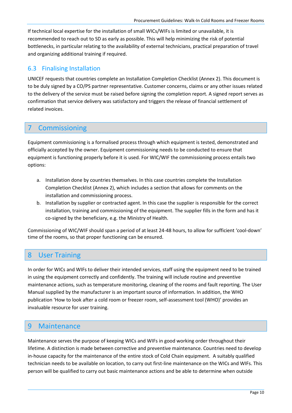If technical local expertise for the installation of small WICs/WIFs is limited or unavailable, it is recommended to reach out to SD as early as possible. This will help minimizing the risk of potential bottlenecks, in particular relating to the availability of external technicians, practical preparation of travel and organizing additional training if required.

## <span id="page-13-0"></span>6.3 Finalising Installation

UNICEF requests that countries complete an Installation Completion Checklist (Annex 2). This document is to be duly signed by a CO/PS partner representative. Customer concerns, claims or any other issues related to the delivery of the service must be raised before signing the completion report. A signed report serves as confirmation that service delivery was satisfactory and triggers the release of financial settlement of related invoices.

# <span id="page-13-1"></span>7 Commissioning

Equipment commissioning is a formalised process through which equipment is tested, demonstrated and officially accepted by the owner. Equipment commissioning needs to be conducted to ensure that equipment is functioning properly before it is used. For WIC/WIF the commissioning process entails two options:

- a. Installation done by countries themselves. In this case countries complete the Installation Completion Checklist (Annex 2), which includes a section that allows for comments on the installation and commissioning process.
- b. Installation by supplier or contracted agent. In this case the supplier is responsible for the correct installation, training and commissioning of the equipment. The supplier fills in the form and has it co-signed by the beneficiary, e.g. the Ministry of Health.

Commissioning of WIC/WIF should span a period of at least 24-48 hours, to allow for sufficient 'cool-down' time of the rooms, so that proper functioning can be ensured.

## <span id="page-13-2"></span>8 User Training

In order for WICs and WIFs to deliver their intended services, staff using the equipment need to be trained in using the equipment correctly and confidently. The training will include routine and preventive maintenance actions, such as temperature monitoring, cleaning of the rooms and fault reporting. The User Manual supplied by the manufacturer is an important source of information. In addition, the WHO publication 'How to look after a cold room or freezer room, self-assessment tool (WHO)' provides an invaluable resource for user training.

## <span id="page-13-3"></span>9 Maintenance

Maintenance serves the purpose of keeping WICs and WIFs in good working order throughout their lifetime. A distinction is made between corrective and preventive maintenance. Countries need to develop in-house capacity for the maintenance of the entire stock of Cold Chain equipment. A suitably qualified technician needs to be available on location, to carry out first-line maintenance on the WICs and WIFs. This person will be qualified to carry out basic maintenance actions and be able to determine when outside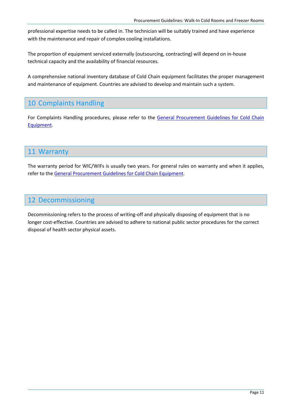professional expertise needs to be called in. The technician will be suitably trained and have experience with the maintenance and repair of complex cooling installations.

The proportion of equipment serviced externally (outsourcing, contracting) will depend on in-house technical capacity and the availability of financial resources.

A comprehensive national inventory database of Cold Chain equipment facilitates the proper management and maintenance of equipment. Countries are advised to develop and maintain such a system.

# <span id="page-14-0"></span>10 Complaints Handling

For Complaints Handling procedures, please refer to the General Procurement Guidelines for Cold Chain [Equipment.](https://www.unicef.org/supply/documents/general-procurement-guidelines-cold-chain-equipment)

# <span id="page-14-1"></span>11 Warranty

The warranty period for WIC/WIFs is usually two years. For general rules on warranty and when it applies, refer to th[e General Procurement Guidelines for Cold Chain Equipment.](https://www.unicef.org/supply/documents/general-procurement-guidelines-cold-chain-equipment)

# <span id="page-14-2"></span>12 Decommissioning

Decommissioning refers to the process of writing-off and physically disposing of equipment that is no longer cost-effective. Countries are advised to adhere to national public sector procedures for the correct disposal of health sector physical assets.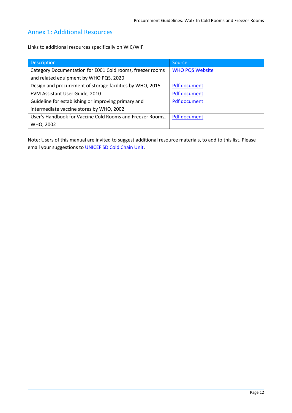#### <span id="page-15-0"></span>Annex 1: Additional Resources

Links to additional resources specifically on WIC/WIF.

| <b>Description</b>                                        | Source                 |
|-----------------------------------------------------------|------------------------|
| Category Documentation for E001 Cold rooms, freezer rooms | <b>WHO PQS Website</b> |
| and related equipment by WHO PQS, 2020                    |                        |
| Design and procurement of storage facilities by WHO, 2015 | Pdf document           |
| EVM Assistant User Guide, 2010                            | <b>Pdf document</b>    |
| Guideline for establishing or improving primary and       | <b>Pdf document</b>    |
| intermediate vaccine stores by WHO, 2002                  |                        |
| User's Handbook for Vaccine Cold Rooms and Freezer Rooms, | <b>Pdf document</b>    |
| WHO, 2002                                                 |                        |

Note: Users of this manual are invited to suggest additional resource materials, to add to this list. Please email your suggestions to **UNICEF SD Cold Chain Unit**.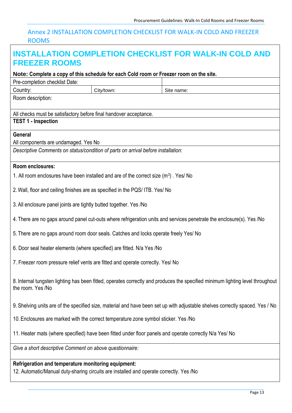# <span id="page-16-0"></span>Annex 2 INSTALLATION COMPLETION CHECKLIST FOR WALK-IN COLD AND FREEZER ROOMS

| <b>FREEZER ROOMS</b>                                                                                                                           |                                                                                       | <b>INSTALLATION COMPLETION CHECKLIST FOR WALK-IN COLD AND</b>                                                                  |  |
|------------------------------------------------------------------------------------------------------------------------------------------------|---------------------------------------------------------------------------------------|--------------------------------------------------------------------------------------------------------------------------------|--|
| Note: Complete a copy of this schedule for each Cold room or Freezer room on the site.                                                         |                                                                                       |                                                                                                                                |  |
| Pre-completion checklist Date:                                                                                                                 |                                                                                       |                                                                                                                                |  |
| Country:                                                                                                                                       | City/town:                                                                            | Site name:                                                                                                                     |  |
| Room description:                                                                                                                              |                                                                                       |                                                                                                                                |  |
| All checks must be satisfactory before final handover acceptance.                                                                              |                                                                                       |                                                                                                                                |  |
| <b>TEST 1 - Inspection</b>                                                                                                                     |                                                                                       |                                                                                                                                |  |
| General                                                                                                                                        |                                                                                       |                                                                                                                                |  |
| All components are undamaged. Yes No                                                                                                           |                                                                                       |                                                                                                                                |  |
| Descriptive Comments on status/condition of parts on arrival before installation:                                                              |                                                                                       |                                                                                                                                |  |
| Room enclosures:                                                                                                                               |                                                                                       |                                                                                                                                |  |
| 1. All room enclosures have been installed and are of the correct size (m <sup>3</sup> ). Yes/ No                                              |                                                                                       |                                                                                                                                |  |
| 2. Wall, floor and ceiling finishes are as specified in the PQS/ITB. Yes/ No                                                                   |                                                                                       |                                                                                                                                |  |
| 3. All enclosure panel joints are tightly butted together. Yes /No                                                                             |                                                                                       |                                                                                                                                |  |
|                                                                                                                                                |                                                                                       | 4. There are no gaps around panel cut-outs where refrigeration units and services penetrate the enclosure(s). Yes /No          |  |
|                                                                                                                                                | 5. There are no gaps around room door seals. Catches and locks operate freely Yes/ No |                                                                                                                                |  |
| 6. Door seal heater elements (where specified) are fitted. N/a Yes /No                                                                         |                                                                                       |                                                                                                                                |  |
| 7. Freezer room pressure relief vents are fitted and operate correctly. Yes/ No                                                                |                                                                                       |                                                                                                                                |  |
| the room. Yes /No                                                                                                                              |                                                                                       | 8. Internal tungsten lighting has been fitted, operates correctly and produces the specified minimum lighting level throughout |  |
|                                                                                                                                                |                                                                                       | 9. Shelving units are of the specified size, material and have been set up with adjustable shelves correctly spaced. Yes / No  |  |
| 10. Enclosures are marked with the correct temperature zone symbol sticker. Yes /No                                                            |                                                                                       |                                                                                                                                |  |
| 11. Heater mats (where specified) have been fitted under floor panels and operate correctly N/a Yes/ No                                        |                                                                                       |                                                                                                                                |  |
| Give a short descriptive Comment on above questionnaire:                                                                                       |                                                                                       |                                                                                                                                |  |
| Refrigeration and temperature monitoring equipment:<br>12. Automatic/Manual duty-sharing circuits are installed and operate correctly. Yes /No |                                                                                       |                                                                                                                                |  |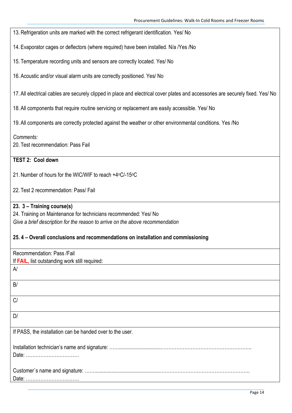13. Refrigeration units are marked with the correct refrigerant identification. Yes/ No

14. Evaporator cages or deflectors (where required) have been installed. N/a /Yes /No

15. Temperature recording units and sensors are correctly located. Yes/ No

16. Acoustic and/or visual alarm units are correctly positioned. Yes/ No

17. All electrical cables are securely clipped in place and electrical cover plates and accessories are securely fixed. Yes/ No

18. All components that require routine servicing or replacement are easily accessible. Yes/ No

19. All components are correctly protected against the weather or other environmental conditions. Yes /No

*Comments:*

20. Test recommendation: Pass Fail

# **TEST 2: Cool down**

21. Number of hours for the WIC/WIF to reach +4°C/-15°C

22. Test 2 recommendation: Pass/ Fail

#### **23. 3 – Training course(s)**

24. Training on Maintenance for technicians recommended: Yes/ No *Give a brief description for the reason to arrive on the above recommendation*

#### **25. 4 – Overall conclusions and recommendations on installation and commissioning**

| Recommendation: Pass /Fail                                |  |  |
|-----------------------------------------------------------|--|--|
| If FAIL, list outstanding work still required:            |  |  |
| A                                                         |  |  |
| B/                                                        |  |  |
| C/                                                        |  |  |
| D/                                                        |  |  |
| If PASS, the installation can be handed over to the user. |  |  |
| Date:                                                     |  |  |
| Date:                                                     |  |  |